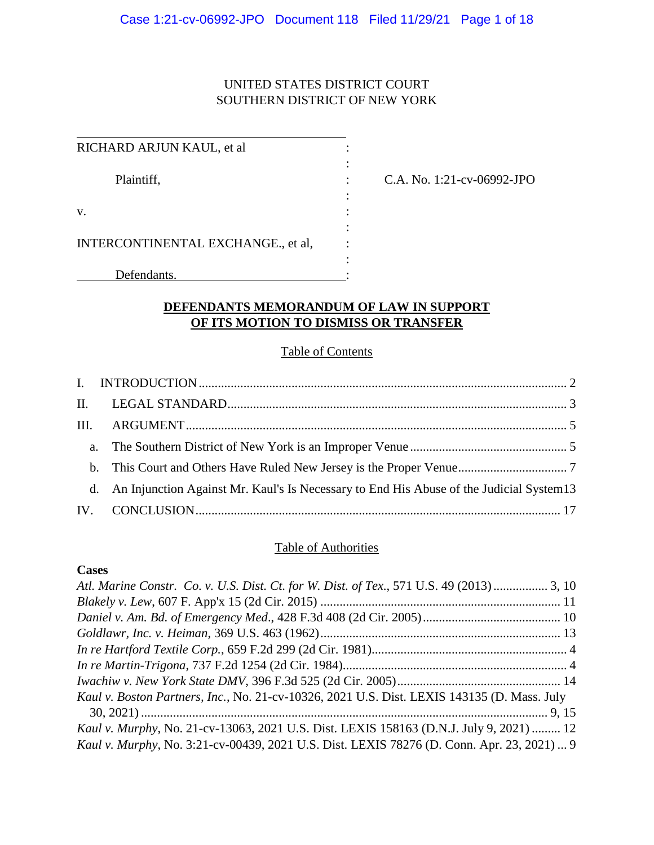# UNITED STATES DISTRICT COURT SOUTHERN DISTRICT OF NEW YORK

| RICHARD ARJUN KAUL, et al          |  |
|------------------------------------|--|
|                                    |  |
| Plaintiff,                         |  |
|                                    |  |
| v.                                 |  |
|                                    |  |
| INTERCONTINENTAL EXCHANGE., et al, |  |
|                                    |  |
| Defendants.                        |  |

C.A. No. 1:21-cv-06992-JPO

# **DEFENDANTS MEMORANDUM OF LAW IN SUPPORT OF ITS MOTION TO DISMISS OR TRANSFER**

# Table of Contents

| d. An Injunction Against Mr. Kaul's Is Necessary to End His Abuse of the Judicial System 13 |  |
|---------------------------------------------------------------------------------------------|--|
|                                                                                             |  |

## Table of Authorities

## **Cases**

| Atl. Marine Constr. Co. v. U.S. Dist. Ct. for W. Dist. of Tex., 571 U.S. 49 (2013)  3, 10   |  |
|---------------------------------------------------------------------------------------------|--|
|                                                                                             |  |
|                                                                                             |  |
|                                                                                             |  |
|                                                                                             |  |
|                                                                                             |  |
|                                                                                             |  |
| Kaul v. Boston Partners, Inc., No. 21-cv-10326, 2021 U.S. Dist. LEXIS 143135 (D. Mass. July |  |
|                                                                                             |  |
| Kaul v. Murphy, No. 21-cv-13063, 2021 U.S. Dist. LEXIS 158163 (D.N.J. July 9, 2021)  12     |  |
| Kaul v. Murphy, No. 3:21-cv-00439, 2021 U.S. Dist. LEXIS 78276 (D. Conn. Apr. 23, 2021)  9  |  |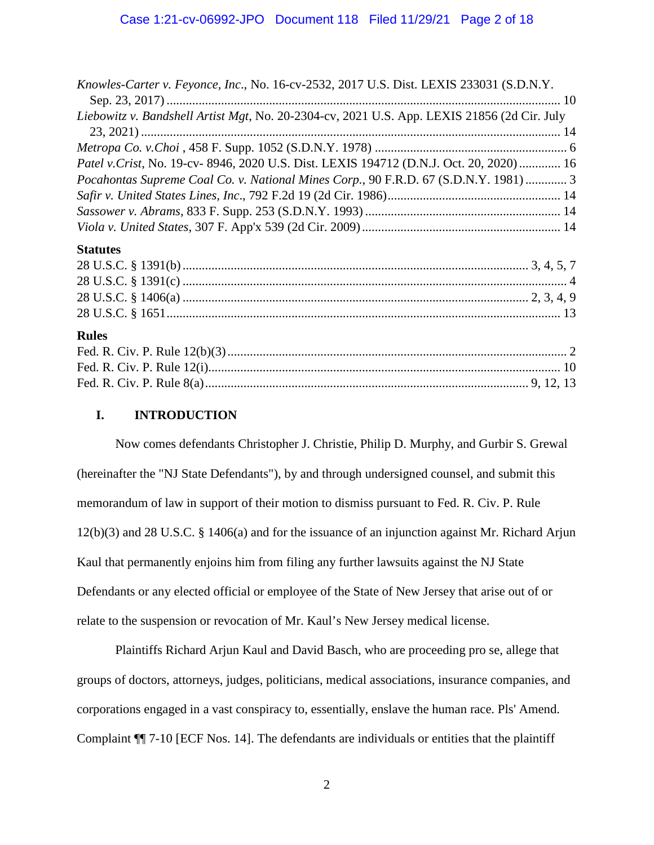| Knowles-Carter v. Feyonce, Inc., No. 16-cv-2532, 2017 U.S. Dist. LEXIS 233031 (S.D.N.Y.     |  |
|---------------------------------------------------------------------------------------------|--|
|                                                                                             |  |
| Liebowitz v. Bandshell Artist Mgt, No. 20-2304-cv, 2021 U.S. App. LEXIS 21856 (2d Cir. July |  |
|                                                                                             |  |
|                                                                                             |  |
| Patel v. Crist, No. 19-cv- 8946, 2020 U.S. Dist. LEXIS 194712 (D.N.J. Oct. 20, 2020)  16    |  |
| Pocahontas Supreme Coal Co. v. National Mines Corp., 90 F.R.D. 67 (S.D.N.Y. 1981)  3        |  |
|                                                                                             |  |
|                                                                                             |  |
|                                                                                             |  |
| <b>Statutes</b>                                                                             |  |

#### **Rules**

### **I. INTRODUCTION**

Now comes defendants Christopher J. Christie, Philip D. Murphy, and Gurbir S. Grewal (hereinafter the "NJ State Defendants"), by and through undersigned counsel, and submit this memorandum of law in support of their motion to dismiss pursuant to Fed. R. Civ. P. Rule 12(b)(3) and 28 U.S.C. § 1406(a) and for the issuance of an injunction against Mr. Richard Arjun Kaul that permanently enjoins him from filing any further lawsuits against the NJ State Defendants or any elected official or employee of the State of New Jersey that arise out of or relate to the suspension or revocation of Mr. Kaul's New Jersey medical license.

Plaintiffs Richard Arjun Kaul and David Basch, who are proceeding pro se, allege that groups of doctors, attorneys, judges, politicians, medical associations, insurance companies, and corporations engaged in a vast conspiracy to, essentially, enslave the human race. Pls' Amend. Complaint ¶¶ 7-10 [ECF Nos. 14]. The defendants are individuals or entities that the plaintiff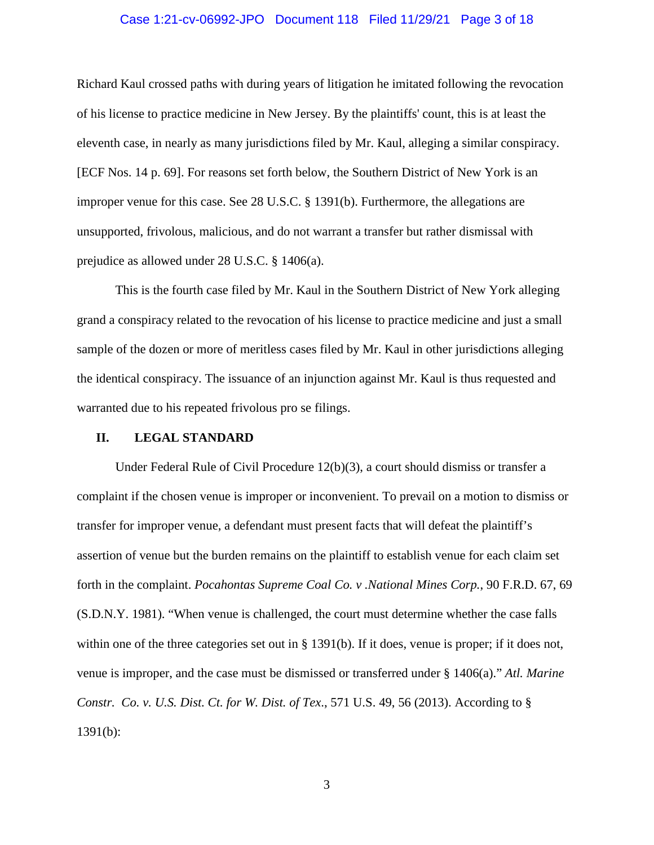#### Case 1:21-cv-06992-JPO Document 118 Filed 11/29/21 Page 3 of 18

Richard Kaul crossed paths with during years of litigation he imitated following the revocation of his license to practice medicine in New Jersey. By the plaintiffs' count, this is at least the eleventh case, in nearly as many jurisdictions filed by Mr. Kaul, alleging a similar conspiracy. [ECF Nos. 14 p. 69]. For reasons set forth below, the Southern District of New York is an improper venue for this case. See 28 U.S.C. § 1391(b). Furthermore, the allegations are unsupported, frivolous, malicious, and do not warrant a transfer but rather dismissal with prejudice as allowed under 28 U.S.C. § 1406(a).

This is the fourth case filed by Mr. Kaul in the Southern District of New York alleging grand a conspiracy related to the revocation of his license to practice medicine and just a small sample of the dozen or more of meritless cases filed by Mr. Kaul in other jurisdictions alleging the identical conspiracy. The issuance of an injunction against Mr. Kaul is thus requested and warranted due to his repeated frivolous pro se filings.

#### **II. LEGAL STANDARD**

Under Federal Rule of Civil Procedure 12(b)(3), a court should dismiss or transfer a complaint if the chosen venue is improper or inconvenient. To prevail on a motion to dismiss or transfer for improper venue, a defendant must present facts that will defeat the plaintiff's assertion of venue but the burden remains on the plaintiff to establish venue for each claim set forth in the complaint. *Pocahontas Supreme Coal Co. v .National Mines Corp.*, 90 F.R.D. 67, 69 (S.D.N.Y. 1981). "When venue is challenged, the court must determine whether the case falls within one of the three categories set out in § 1391(b). If it does, venue is proper; if it does not, venue is improper, and the case must be dismissed or transferred under § 1406(a)." *Atl. Marine Constr. Co. v. U.S. Dist. Ct. for W. Dist. of Tex*., 571 U.S. 49, 56 (2013). According to § 1391(b):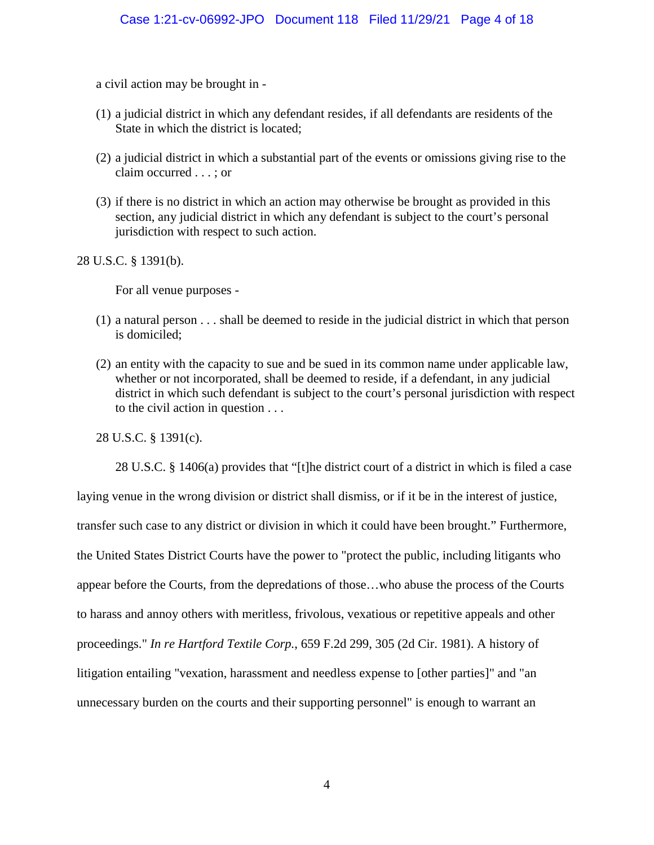a civil action may be brought in -

- (1) a judicial district in which any defendant resides, if all defendants are residents of the State in which the district is located;
- (2) a judicial district in which a substantial part of the events or omissions giving rise to the claim occurred . . . ; or
- (3) if there is no district in which an action may otherwise be brought as provided in this section, any judicial district in which any defendant is subject to the court's personal jurisdiction with respect to such action.

28 U.S.C. § 1391(b).

For all venue purposes -

- (1) a natural person . . . shall be deemed to reside in the judicial district in which that person is domiciled;
- (2) an entity with the capacity to sue and be sued in its common name under applicable law, whether or not incorporated, shall be deemed to reside, if a defendant, in any judicial district in which such defendant is subject to the court's personal jurisdiction with respect to the civil action in question . . .

28 U.S.C. § 1391(c).

28 U.S.C. § 1406(a) provides that "[t]he district court of a district in which is filed a case laying venue in the wrong division or district shall dismiss, or if it be in the interest of justice, transfer such case to any district or division in which it could have been brought." Furthermore, the United States District Courts have the power to "protect the public, including litigants who appear before the Courts, from the depredations of those…who abuse the process of the Courts to harass and annoy others with meritless, frivolous, vexatious or repetitive appeals and other proceedings." *In re Hartford Textile Corp.*, 659 F.2d 299, 305 (2d Cir. 1981). A history of litigation entailing "vexation, harassment and needless expense to [other parties]" and "an unnecessary burden on the courts and their supporting personnel" is enough to warrant an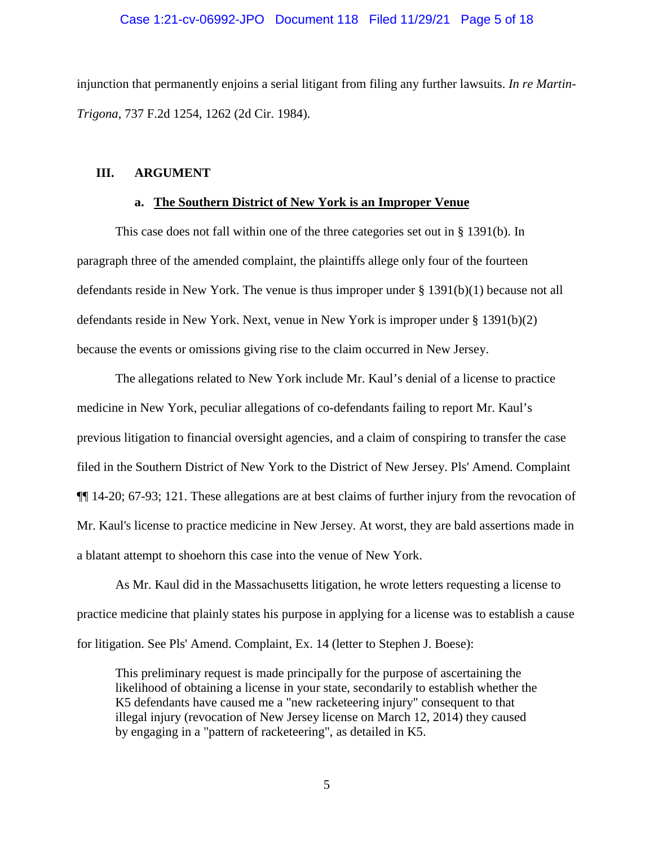#### Case 1:21-cv-06992-JPO Document 118 Filed 11/29/21 Page 5 of 18

injunction that permanently enjoins a serial litigant from filing any further lawsuits. *In re Martin-Trigona*, 737 F.2d 1254, 1262 (2d Cir. 1984).

#### **III. ARGUMENT**

#### **a. The Southern District of New York is an Improper Venue**

This case does not fall within one of the three categories set out in § 1391(b). In paragraph three of the amended complaint, the plaintiffs allege only four of the fourteen defendants reside in New York. The venue is thus improper under § 1391(b)(1) because not all defendants reside in New York. Next, venue in New York is improper under § 1391(b)(2) because the events or omissions giving rise to the claim occurred in New Jersey.

The allegations related to New York include Mr. Kaul's denial of a license to practice medicine in New York, peculiar allegations of co-defendants failing to report Mr. Kaul's previous litigation to financial oversight agencies, and a claim of conspiring to transfer the case filed in the Southern District of New York to the District of New Jersey. Pls' Amend. Complaint ¶¶ 14-20; 67-93; 121. These allegations are at best claims of further injury from the revocation of Mr. Kaul's license to practice medicine in New Jersey. At worst, they are bald assertions made in a blatant attempt to shoehorn this case into the venue of New York.

As Mr. Kaul did in the Massachusetts litigation, he wrote letters requesting a license to practice medicine that plainly states his purpose in applying for a license was to establish a cause for litigation. See Pls' Amend. Complaint, Ex. 14 (letter to Stephen J. Boese):

This preliminary request is made principally for the purpose of ascertaining the likelihood of obtaining a license in your state, secondarily to establish whether the K5 defendants have caused me a "new racketeering injury" consequent to that illegal injury (revocation of New Jersey license on March 12, 2014) they caused by engaging in a "pattern of racketeering", as detailed in K5.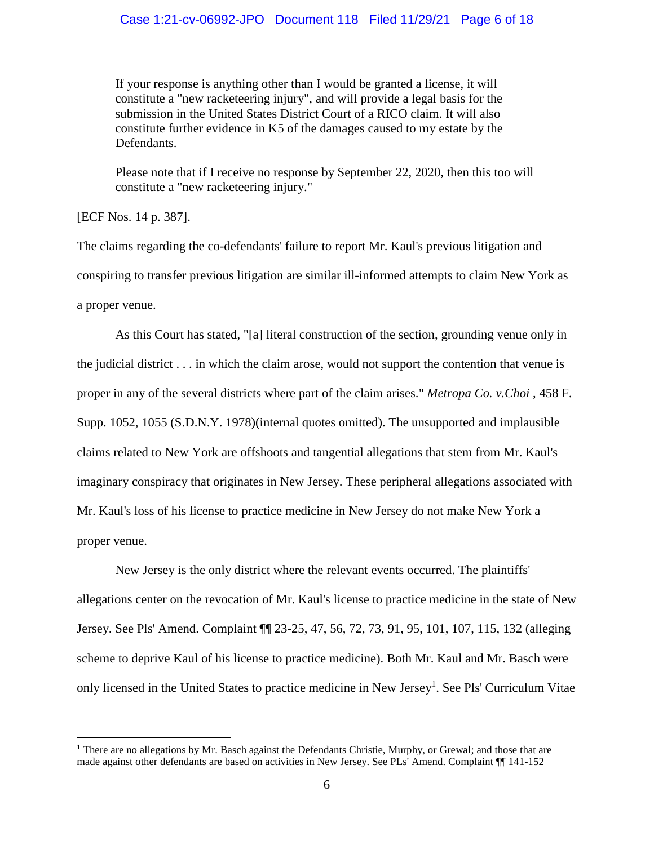If your response is anything other than I would be granted a license, it will constitute a "new racketeering injury", and will provide a legal basis for the submission in the United States District Court of a RICO claim. It will also constitute further evidence in K5 of the damages caused to my estate by the Defendants.

Please note that if I receive no response by September 22, 2020, then this too will constitute a "new racketeering injury."

[ECF Nos. 14 p. 387].

The claims regarding the co-defendants' failure to report Mr. Kaul's previous litigation and conspiring to transfer previous litigation are similar ill-informed attempts to claim New York as a proper venue.

As this Court has stated, "[a] literal construction of the section, grounding venue only in the judicial district . . . in which the claim arose, would not support the contention that venue is proper in any of the several districts where part of the claim arises." *Metropa Co. v.Choi* , 458 F. Supp. 1052, 1055 (S.D.N.Y. 1978)(internal quotes omitted). The unsupported and implausible claims related to New York are offshoots and tangential allegations that stem from Mr. Kaul's imaginary conspiracy that originates in New Jersey. These peripheral allegations associated with Mr. Kaul's loss of his license to practice medicine in New Jersey do not make New York a proper venue.

New Jersey is the only district where the relevant events occurred. The plaintiffs' allegations center on the revocation of Mr. Kaul's license to practice medicine in the state of New Jersey. See Pls' Amend. Complaint ¶¶ 23-25, 47, 56, 72, 73, 91, 95, 101, 107, 115, 132 (alleging scheme to deprive Kaul of his license to practice medicine). Both Mr. Kaul and Mr. Basch were only licensed in the United States to practice medicine in New Jersey<sup>1</sup>. See Pls' Curriculum Vitae

<sup>&</sup>lt;sup>1</sup> There are no allegations by Mr. Basch against the Defendants Christie, Murphy, or Grewal; and those that are made against other defendants are based on activities in New Jersey. See PLs' Amend. Complaint ¶¶ 141-152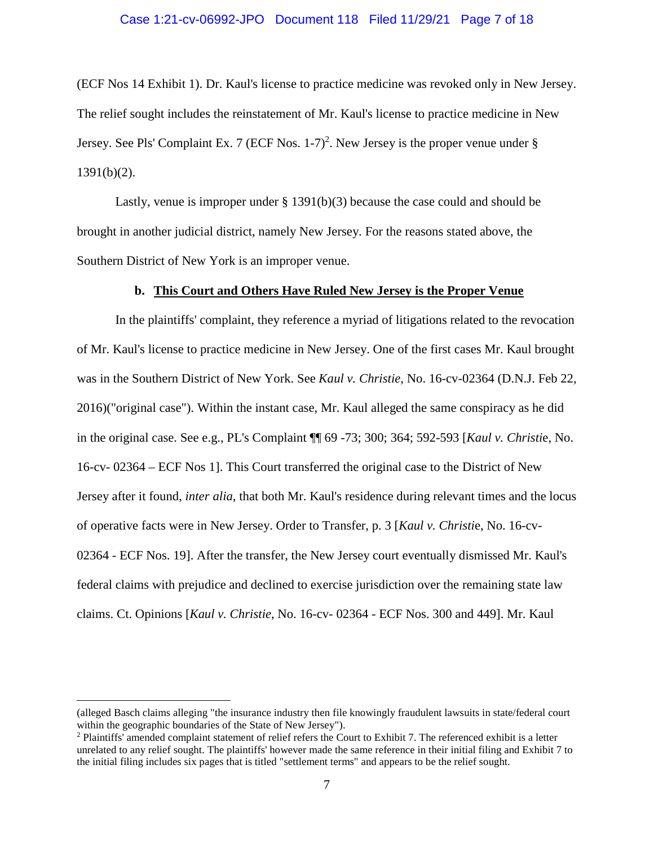#### Case 1:21-cv-06992-JPO Document 118 Filed 11/29/21 Page 7 of 18

(ECF Nos 14 Exhibit 1). Dr. Kaul's license to practice medicine was revoked only in New Jersey. The relief sought includes the reinstatement of Mr. Kaul's license to practice medicine in New Jersey. See Pls' Complaint Ex. 7 (ECF Nos. 1-7)<sup>2</sup>. New Jersey is the proper venue under  $\S$  $1391(b)(2)$ .

Lastly, venue is improper under § 1391(b)(3) because the case could and should be brought in another judicial district, namely New Jersey. For the reasons stated above, the Southern District of New York is an improper venue.

#### **b. This Court and Others Have Ruled New Jersey is the Proper Venue**

In the plaintiffs' complaint, they reference a myriad of litigations related to the revocation of Mr. Kaul's license to practice medicine in New Jersey. One of the first cases Mr. Kaul brought was in the Southern District of New York. See *Kaul v. Christie*, No. 16-cv-02364 (D.N.J. Feb 22, 2016)("original case"). Within the instant case, Mr. Kaul alleged the same conspiracy as he did in the original case. See e.g., PL's Complaint ¶¶ 69 -73; 300; 364; 592-593 [*Kaul v. Christi*e, No. 16-cv- 02364 – ECF Nos 1]. This Court transferred the original case to the District of New Jersey after it found, *inter alia*, that both Mr. Kaul's residence during relevant times and the locus of operative facts were in New Jersey. Order to Transfer, p. 3 [*Kaul v. Christi*e, No. 16-cv-02364 - ECF Nos. 19]. After the transfer, the New Jersey court eventually dismissed Mr. Kaul's federal claims with prejudice and declined to exercise jurisdiction over the remaining state law claims. Ct. Opinions [*Kaul v. Christie*, No. 16-cv- 02364 - ECF Nos. 300 and 449]. Mr. Kaul

<sup>(</sup>alleged Basch claims alleging "the insurance industry then file knowingly fraudulent lawsuits in state/federal court within the geographic boundaries of the State of New Jersey").

<sup>&</sup>lt;sup>2</sup> Plaintiffs' amended complaint statement of relief refers the Court to Exhibit 7. The referenced exhibit is a letter unrelated to any relief sought. The plaintiffs' however made the same reference in their initial filing and Exhibit 7 to the initial filing includes six pages that is titled "settlement terms" and appears to be the relief sought.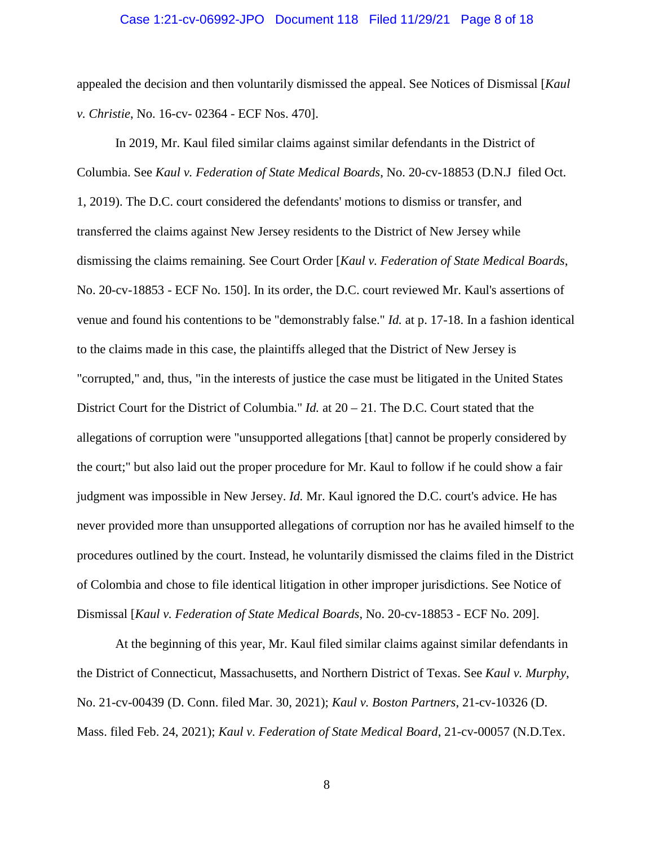#### Case 1:21-cv-06992-JPO Document 118 Filed 11/29/21 Page 8 of 18

appealed the decision and then voluntarily dismissed the appeal. See Notices of Dismissal [*Kaul v. Christie*, No. 16-cv- 02364 - ECF Nos. 470].

In 2019, Mr. Kaul filed similar claims against similar defendants in the District of Columbia. See *Kaul v. Federation of State Medical Boards*, No. 20-cv-18853 (D.N.J filed Oct. 1, 2019). The D.C. court considered the defendants' motions to dismiss or transfer, and transferred the claims against New Jersey residents to the District of New Jersey while dismissing the claims remaining. See Court Order [*Kaul v. Federation of State Medical Boards*, No. 20-cv-18853 - ECF No. 150]. In its order, the D.C. court reviewed Mr. Kaul's assertions of venue and found his contentions to be "demonstrably false." *Id.* at p. 17-18. In a fashion identical to the claims made in this case, the plaintiffs alleged that the District of New Jersey is "corrupted," and, thus, "in the interests of justice the case must be litigated in the United States District Court for the District of Columbia." *Id.* at 20 – 21. The D.C. Court stated that the allegations of corruption were "unsupported allegations [that] cannot be properly considered by the court;" but also laid out the proper procedure for Mr. Kaul to follow if he could show a fair judgment was impossible in New Jersey. *Id.* Mr. Kaul ignored the D.C. court's advice. He has never provided more than unsupported allegations of corruption nor has he availed himself to the procedures outlined by the court. Instead, he voluntarily dismissed the claims filed in the District of Colombia and chose to file identical litigation in other improper jurisdictions. See Notice of Dismissal [*Kaul v. Federation of State Medical Boards*, No. 20-cv-18853 - ECF No. 209].

At the beginning of this year, Mr. Kaul filed similar claims against similar defendants in the District of Connecticut, Massachusetts, and Northern District of Texas. See *Kaul v. Murphy*, No. 21-cv-00439 (D. Conn. filed Mar. 30, 2021); *Kaul v. Boston Partners*, 21-cv-10326 (D. Mass. filed Feb. 24, 2021); *Kaul v. Federation of State Medical Board*, 21-cv-00057 (N.D.Tex.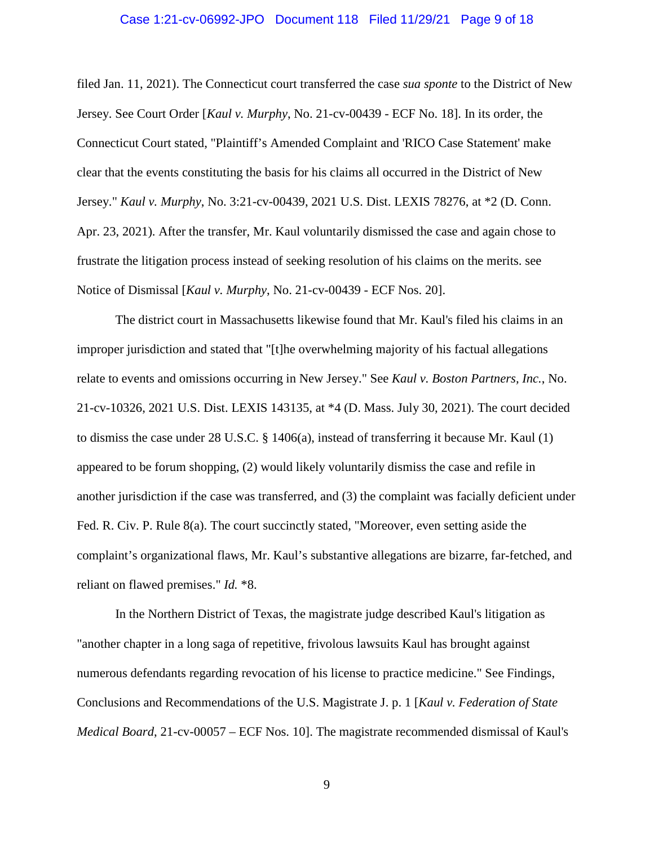#### Case 1:21-cv-06992-JPO Document 118 Filed 11/29/21 Page 9 of 18

filed Jan. 11, 2021). The Connecticut court transferred the case *sua sponte* to the District of New Jersey. See Court Order [*Kaul v. Murphy*, No. 21-cv-00439 - ECF No. 18]. In its order, the Connecticut Court stated, "Plaintiff's Amended Complaint and 'RICO Case Statement' make clear that the events constituting the basis for his claims all occurred in the District of New Jersey." *Kaul v. Murphy*, No. 3:21-cv-00439, 2021 U.S. Dist. LEXIS 78276, at \*2 (D. Conn. Apr. 23, 2021). After the transfer, Mr. Kaul voluntarily dismissed the case and again chose to frustrate the litigation process instead of seeking resolution of his claims on the merits. see Notice of Dismissal [*Kaul v. Murphy*, No. 21-cv-00439 - ECF Nos. 20].

The district court in Massachusetts likewise found that Mr. Kaul's filed his claims in an improper jurisdiction and stated that "[t]he overwhelming majority of his factual allegations relate to events and omissions occurring in New Jersey." See *Kaul v. Boston Partners, Inc.*, No. 21-cv-10326, 2021 U.S. Dist. LEXIS 143135, at \*4 (D. Mass. July 30, 2021). The court decided to dismiss the case under 28 U.S.C. § 1406(a), instead of transferring it because Mr. Kaul (1) appeared to be forum shopping, (2) would likely voluntarily dismiss the case and refile in another jurisdiction if the case was transferred, and (3) the complaint was facially deficient under Fed. R. Civ. P. Rule 8(a). The court succinctly stated, "Moreover, even setting aside the complaint's organizational flaws, Mr. Kaul's substantive allegations are bizarre, far-fetched, and reliant on flawed premises." *Id.* \*8.

In the Northern District of Texas, the magistrate judge described Kaul's litigation as "another chapter in a long saga of repetitive, frivolous lawsuits Kaul has brought against numerous defendants regarding revocation of his license to practice medicine." See Findings, Conclusions and Recommendations of the U.S. Magistrate J. p. 1 [*Kaul v. Federation of State Medical Board*, 21-cv-00057 – ECF Nos. 10]. The magistrate recommended dismissal of Kaul's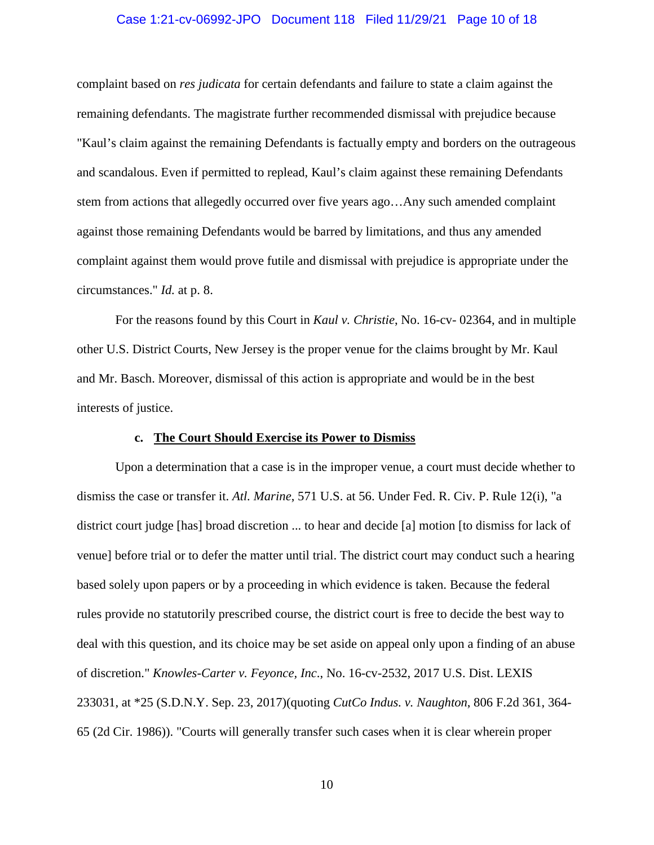#### Case 1:21-cv-06992-JPO Document 118 Filed 11/29/21 Page 10 of 18

complaint based on *res judicata* for certain defendants and failure to state a claim against the remaining defendants. The magistrate further recommended dismissal with prejudice because "Kaul's claim against the remaining Defendants is factually empty and borders on the outrageous and scandalous. Even if permitted to replead, Kaul's claim against these remaining Defendants stem from actions that allegedly occurred over five years ago…Any such amended complaint against those remaining Defendants would be barred by limitations, and thus any amended complaint against them would prove futile and dismissal with prejudice is appropriate under the circumstances." *Id.* at p. 8.

For the reasons found by this Court in *Kaul v. Christie*, No. 16-cv- 02364, and in multiple other U.S. District Courts, New Jersey is the proper venue for the claims brought by Mr. Kaul and Mr. Basch. Moreover, dismissal of this action is appropriate and would be in the best interests of justice.

#### **c. The Court Should Exercise its Power to Dismiss**

Upon a determination that a case is in the improper venue, a court must decide whether to dismiss the case or transfer it. *Atl. Marine*, 571 U.S. at 56. Under Fed. R. Civ. P. Rule 12(i), "a district court judge [has] broad discretion ... to hear and decide [a] motion [to dismiss for lack of venue] before trial or to defer the matter until trial. The district court may conduct such a hearing based solely upon papers or by a proceeding in which evidence is taken. Because the federal rules provide no statutorily prescribed course, the district court is free to decide the best way to deal with this question, and its choice may be set aside on appeal only upon a finding of an abuse of discretion." *Knowles-Carter v. Feyonce, Inc*., No. 16-cv-2532, 2017 U.S. Dist. LEXIS 233031, at \*25 (S.D.N.Y. Sep. 23, 2017)(quoting *CutCo Indus. v. Naughton*, 806 F.2d 361, 364- 65 (2d Cir. 1986)). "Courts will generally transfer such cases when it is clear wherein proper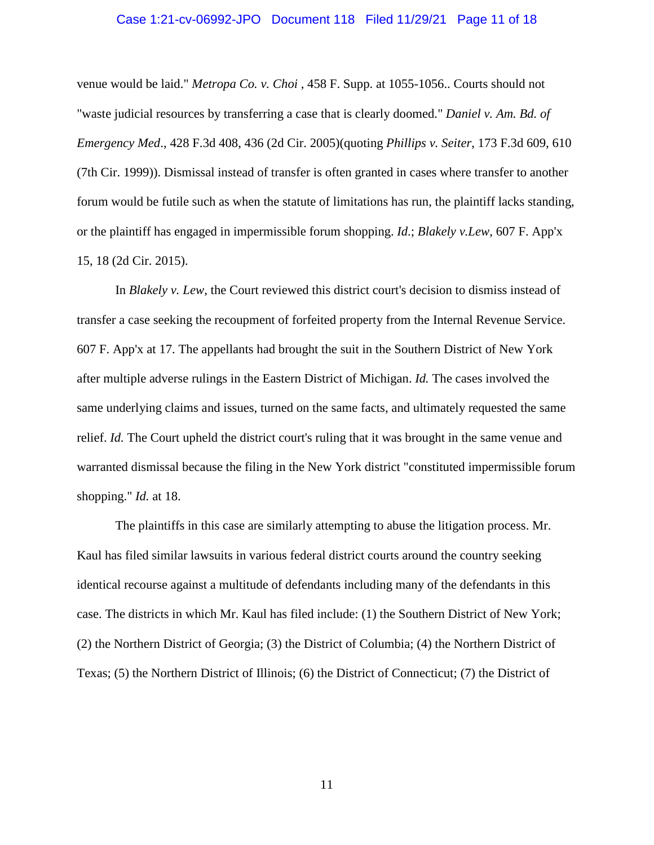#### Case 1:21-cv-06992-JPO Document 118 Filed 11/29/21 Page 11 of 18

venue would be laid." *Metropa Co. v. Choi* , 458 F. Supp. at 1055-1056.. Courts should not "waste judicial resources by transferring a case that is clearly doomed." *Daniel v. Am. Bd. of Emergency Med*., 428 F.3d 408, 436 (2d Cir. 2005)(quoting *Phillips v. Seiter*, 173 F.3d 609, 610 (7th Cir. 1999)). Dismissal instead of transfer is often granted in cases where transfer to another forum would be futile such as when the statute of limitations has run, the plaintiff lacks standing, or the plaintiff has engaged in impermissible forum shopping. *Id*.; *Blakely v.Lew*, 607 F. App'x 15, 18 (2d Cir. 2015).

In *Blakely v. Lew*, the Court reviewed this district court's decision to dismiss instead of transfer a case seeking the recoupment of forfeited property from the Internal Revenue Service. 607 F. App'x at 17. The appellants had brought the suit in the Southern District of New York after multiple adverse rulings in the Eastern District of Michigan. *Id.* The cases involved the same underlying claims and issues, turned on the same facts, and ultimately requested the same relief. *Id.* The Court upheld the district court's ruling that it was brought in the same venue and warranted dismissal because the filing in the New York district "constituted impermissible forum shopping." *Id.* at 18.

The plaintiffs in this case are similarly attempting to abuse the litigation process. Mr. Kaul has filed similar lawsuits in various federal district courts around the country seeking identical recourse against a multitude of defendants including many of the defendants in this case. The districts in which Mr. Kaul has filed include: (1) the Southern District of New York; (2) the Northern District of Georgia; (3) the District of Columbia; (4) the Northern District of Texas; (5) the Northern District of Illinois; (6) the District of Connecticut; (7) the District of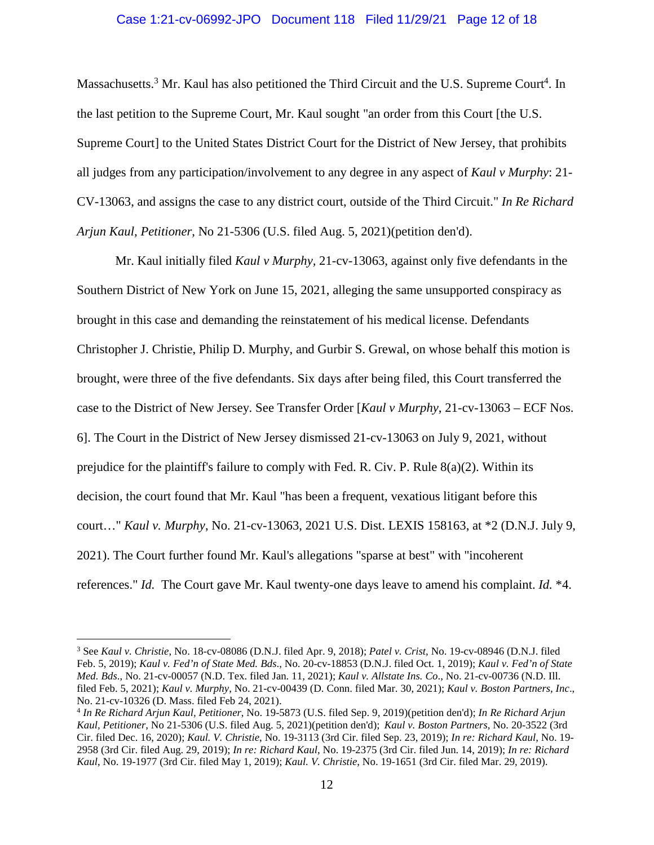#### Case 1:21-cv-06992-JPO Document 118 Filed 11/29/21 Page 12 of 18

Massachusetts.<sup>3</sup> Mr. Kaul has also petitioned the Third Circuit and the U.S. Supreme Court<sup>4</sup>. In the last petition to the Supreme Court, Mr. Kaul sought "an order from this Court [the U.S. Supreme Court] to the United States District Court for the District of New Jersey, that prohibits all judges from any participation/involvement to any degree in any aspect of *Kaul v Murphy*: 21- CV-13063, and assigns the case to any district court, outside of the Third Circuit." *In Re Richard Arjun Kaul, Petitioner*, No 21-5306 (U.S. filed Aug. 5, 2021)(petition den'd).

Mr. Kaul initially filed *Kaul v Murphy,* 21-cv-13063, against only five defendants in the Southern District of New York on June 15, 2021, alleging the same unsupported conspiracy as brought in this case and demanding the reinstatement of his medical license. Defendants Christopher J. Christie, Philip D. Murphy, and Gurbir S. Grewal, on whose behalf this motion is brought, were three of the five defendants. Six days after being filed, this Court transferred the case to the District of New Jersey. See Transfer Order [*Kaul v Murphy*, 21-cv-13063 – ECF Nos. 6]. The Court in the District of New Jersey dismissed 21-cv-13063 on July 9, 2021, without prejudice for the plaintiff's failure to comply with Fed. R. Civ. P. Rule  $8(a)(2)$ . Within its decision, the court found that Mr. Kaul "has been a frequent, vexatious litigant before this court…" *Kaul v. Murphy*, No. 21-cv-13063, 2021 U.S. Dist. LEXIS 158163, at \*2 (D.N.J. July 9, 2021). The Court further found Mr. Kaul's allegations "sparse at best" with "incoherent references." *Id.* The Court gave Mr. Kaul twenty-one days leave to amend his complaint. *Id.* \*4.

<sup>3</sup> See *Kaul v. Christie*, No. 18-cv-08086 (D.N.J. filed Apr. 9, 2018); *Patel v. Crist*, No. 19-cv-08946 (D.N.J. filed Feb. 5, 2019); *Kaul v. Fed'n of State Med. Bds*., No. 20-cv-18853 (D.N.J. filed Oct. 1, 2019); *Kaul v. Fed'n of State Med. Bds*., No. 21-cv-00057 (N.D. Tex. filed Jan. 11, 2021); *Kaul v. Allstate Ins. Co*., No. 21-cv-00736 (N.D. Ill. filed Feb. 5, 2021); *Kaul v. Murphy*, No. 21-cv-00439 (D. Conn. filed Mar. 30, 2021); *Kaul v. Boston Partners, Inc*., No. 21-cv-10326 (D. Mass. filed Feb 24, 2021).

<sup>4</sup> *In Re Richard Arjun Kaul, Petitioner*, No. 19-5873 (U.S. filed Sep. 9, 2019)(petition den'd); *In Re Richard Arjun Kaul, Petitioner*, No 21-5306 (U.S. filed Aug. 5, 2021)(petition den'd); *Kaul v. Boston Partners*, No. 20-3522 (3rd Cir. filed Dec. 16, 2020); *Kaul. V. Christie*, No. 19-3113 (3rd Cir. filed Sep. 23, 2019); *In re: Richard Kaul*, No. 19- 2958 (3rd Cir. filed Aug. 29, 2019); *In re: Richard Kaul*, No. 19-2375 (3rd Cir. filed Jun. 14, 2019); *In re: Richard Kaul*, No. 19-1977 (3rd Cir. filed May 1, 2019); *Kaul. V. Christie*, No. 19-1651 (3rd Cir. filed Mar. 29, 2019).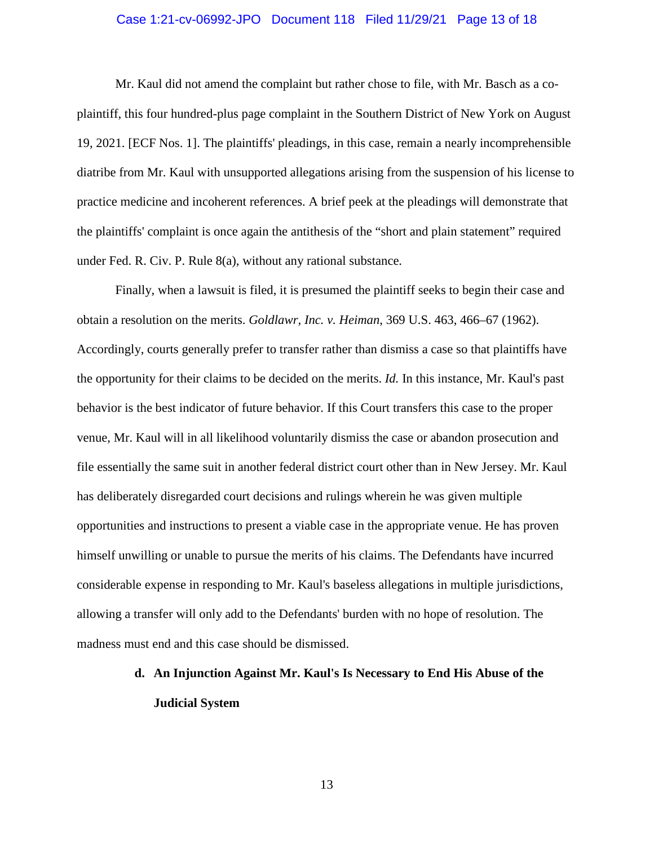#### Case 1:21-cv-06992-JPO Document 118 Filed 11/29/21 Page 13 of 18

Mr. Kaul did not amend the complaint but rather chose to file, with Mr. Basch as a coplaintiff, this four hundred-plus page complaint in the Southern District of New York on August 19, 2021. [ECF Nos. 1]. The plaintiffs' pleadings, in this case, remain a nearly incomprehensible diatribe from Mr. Kaul with unsupported allegations arising from the suspension of his license to practice medicine and incoherent references. A brief peek at the pleadings will demonstrate that the plaintiffs' complaint is once again the antithesis of the "short and plain statement" required under Fed. R. Civ. P. Rule 8(a), without any rational substance.

Finally, when a lawsuit is filed, it is presumed the plaintiff seeks to begin their case and obtain a resolution on the merits. *Goldlawr, Inc. v. Heiman*, 369 U.S. 463, 466–67 (1962). Accordingly, courts generally prefer to transfer rather than dismiss a case so that plaintiffs have the opportunity for their claims to be decided on the merits. *Id.* In this instance, Mr. Kaul's past behavior is the best indicator of future behavior. If this Court transfers this case to the proper venue, Mr. Kaul will in all likelihood voluntarily dismiss the case or abandon prosecution and file essentially the same suit in another federal district court other than in New Jersey. Mr. Kaul has deliberately disregarded court decisions and rulings wherein he was given multiple opportunities and instructions to present a viable case in the appropriate venue. He has proven himself unwilling or unable to pursue the merits of his claims. The Defendants have incurred considerable expense in responding to Mr. Kaul's baseless allegations in multiple jurisdictions, allowing a transfer will only add to the Defendants' burden with no hope of resolution. The madness must end and this case should be dismissed.

# **d. An Injunction Against Mr. Kaul's Is Necessary to End His Abuse of the Judicial System**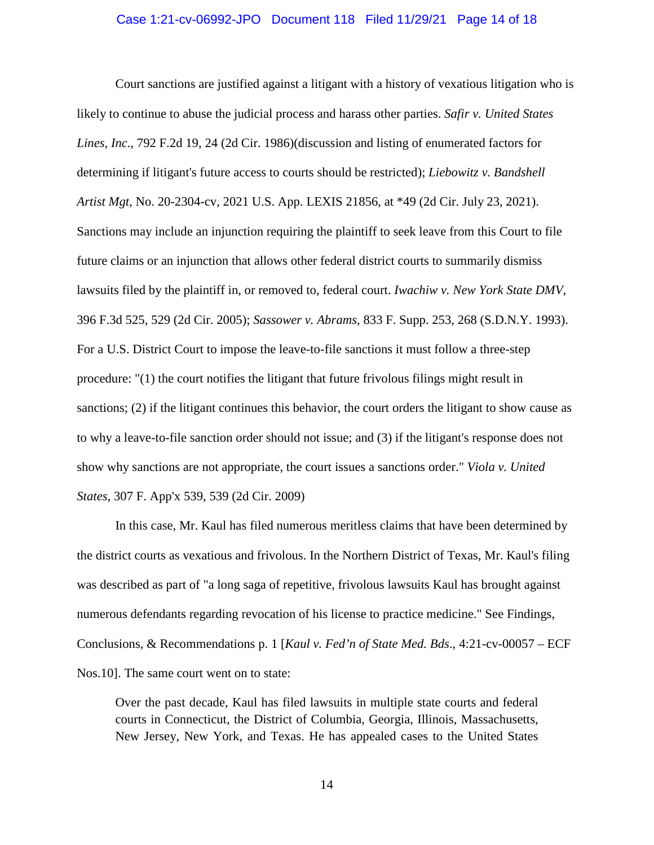#### Case 1:21-cv-06992-JPO Document 118 Filed 11/29/21 Page 14 of 18

Court sanctions are justified against a litigant with a history of vexatious litigation who is likely to continue to abuse the judicial process and harass other parties. *Safir v. United States Lines, Inc*., 792 F.2d 19, 24 (2d Cir. 1986)(discussion and listing of enumerated factors for determining if litigant's future access to courts should be restricted); *Liebowitz v. Bandshell Artist Mgt*, No. 20-2304-cv, 2021 U.S. App. LEXIS 21856, at \*49 (2d Cir. July 23, 2021). Sanctions may include an injunction requiring the plaintiff to seek leave from this Court to file future claims or an injunction that allows other federal district courts to summarily dismiss lawsuits filed by the plaintiff in, or removed to, federal court. *Iwachiw v. New York State DMV*, 396 F.3d 525, 529 (2d Cir. 2005); *Sassower v. Abrams*, 833 F. Supp. 253, 268 (S.D.N.Y. 1993). For a U.S. District Court to impose the leave-to-file sanctions it must follow a three-step procedure: "(1) the court notifies the litigant that future frivolous filings might result in sanctions; (2) if the litigant continues this behavior, the court orders the litigant to show cause as to why a leave-to-file sanction order should not issue; and (3) if the litigant's response does not show why sanctions are not appropriate, the court issues a sanctions order." *Viola v. United States*, 307 F. App'x 539, 539 (2d Cir. 2009)

In this case, Mr. Kaul has filed numerous meritless claims that have been determined by the district courts as vexatious and frivolous. In the Northern District of Texas, Mr. Kaul's filing was described as part of "a long saga of repetitive, frivolous lawsuits Kaul has brought against numerous defendants regarding revocation of his license to practice medicine." See Findings, Conclusions, & Recommendations p. 1 [*Kaul v. Fed'n of State Med. Bds*., 4:21-cv-00057 – ECF Nos.10]. The same court went on to state:

Over the past decade, Kaul has filed lawsuits in multiple state courts and federal courts in Connecticut, the District of Columbia, Georgia, Illinois, Massachusetts, New Jersey, New York, and Texas. He has appealed cases to the United States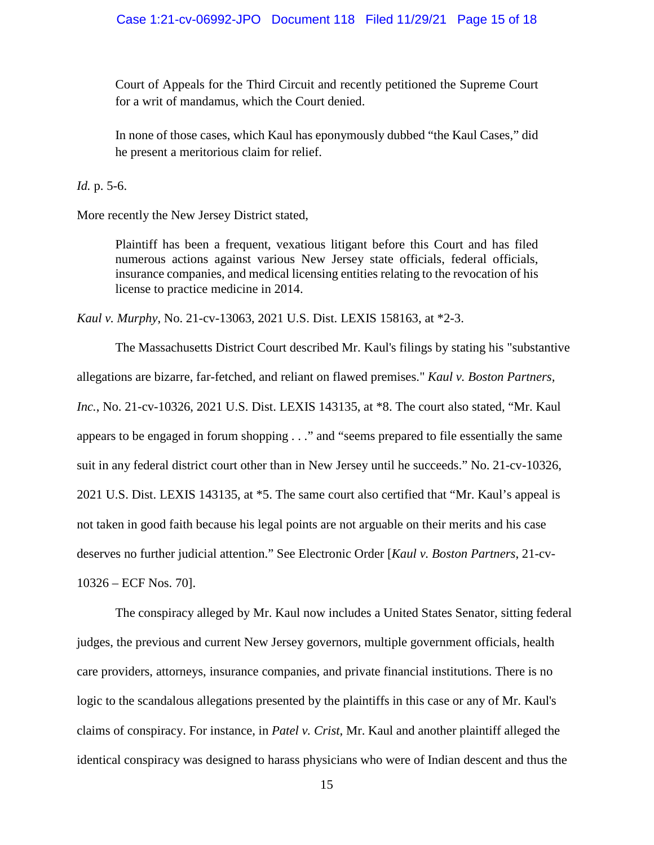Court of Appeals for the Third Circuit and recently petitioned the Supreme Court for a writ of mandamus, which the Court denied.

In none of those cases, which Kaul has eponymously dubbed "the Kaul Cases," did he present a meritorious claim for relief.

*Id.* p. 5-6.

More recently the New Jersey District stated,

Plaintiff has been a frequent, vexatious litigant before this Court and has filed numerous actions against various New Jersey state officials, federal officials, insurance companies, and medical licensing entities relating to the revocation of his license to practice medicine in 2014.

*Kaul v. Murphy*, No. 21-cv-13063, 2021 U.S. Dist. LEXIS 158163, at \*2-3.

The Massachusetts District Court described Mr. Kaul's filings by stating his "substantive allegations are bizarre, far-fetched, and reliant on flawed premises." *Kaul v. Boston Partners, Inc.*, No. 21-cv-10326, 2021 U.S. Dist. LEXIS 143135, at \*8. The court also stated, "Mr. Kaul appears to be engaged in forum shopping . . ." and "seems prepared to file essentially the same suit in any federal district court other than in New Jersey until he succeeds." No. 21-cv-10326, 2021 U.S. Dist. LEXIS 143135, at \*5. The same court also certified that "Mr. Kaul's appeal is not taken in good faith because his legal points are not arguable on their merits and his case deserves no further judicial attention." See Electronic Order [*Kaul v. Boston Partners*, 21-cv-10326 – ECF Nos. 70].

The conspiracy alleged by Mr. Kaul now includes a United States Senator, sitting federal judges, the previous and current New Jersey governors, multiple government officials, health care providers, attorneys, insurance companies, and private financial institutions. There is no logic to the scandalous allegations presented by the plaintiffs in this case or any of Mr. Kaul's claims of conspiracy. For instance, in *Patel v. Crist*, Mr. Kaul and another plaintiff alleged the identical conspiracy was designed to harass physicians who were of Indian descent and thus the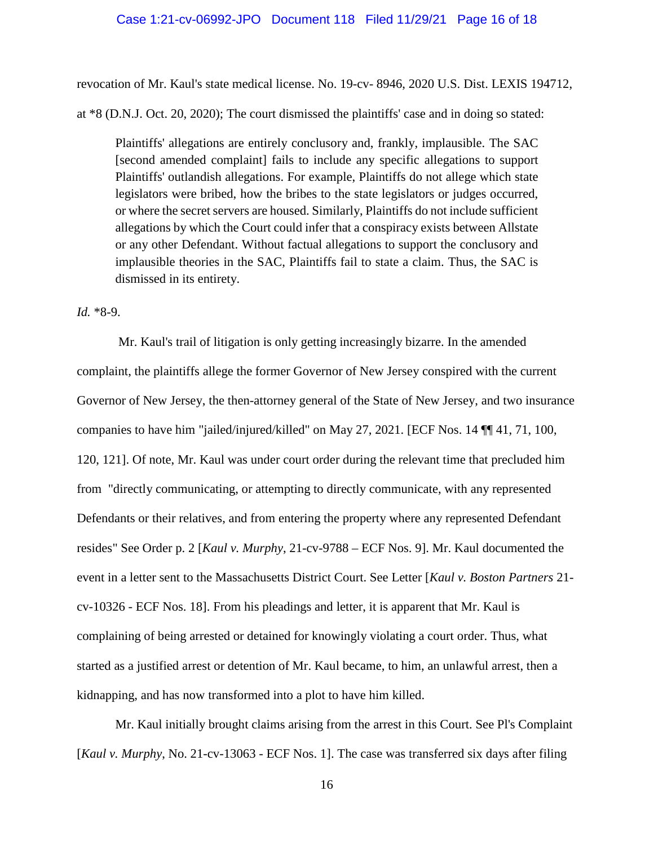#### Case 1:21-cv-06992-JPO Document 118 Filed 11/29/21 Page 16 of 18

revocation of Mr. Kaul's state medical license. No. 19-cv- 8946, 2020 U.S. Dist. LEXIS 194712, at \*8 (D.N.J. Oct. 20, 2020); The court dismissed the plaintiffs' case and in doing so stated:

Plaintiffs' allegations are entirely conclusory and, frankly, implausible. The SAC [second amended complaint] fails to include any specific allegations to support Plaintiffs' outlandish allegations. For example, Plaintiffs do not allege which state legislators were bribed, how the bribes to the state legislators or judges occurred, or where the secret servers are housed. Similarly, Plaintiffs do not include sufficient allegations by which the Court could infer that a conspiracy exists between Allstate or any other Defendant. Without factual allegations to support the conclusory and implausible theories in the SAC, Plaintiffs fail to state a claim. Thus, the SAC is dismissed in its entirety.

#### *Id.* \*8-9.

 Mr. Kaul's trail of litigation is only getting increasingly bizarre. In the amended complaint, the plaintiffs allege the former Governor of New Jersey conspired with the current Governor of New Jersey, the then-attorney general of the State of New Jersey, and two insurance companies to have him "jailed/injured/killed" on May 27, 2021. [ECF Nos. 14 ¶¶ 41, 71, 100, 120, 121]. Of note, Mr. Kaul was under court order during the relevant time that precluded him from "directly communicating, or attempting to directly communicate, with any represented Defendants or their relatives, and from entering the property where any represented Defendant resides" See Order p. 2 [*Kaul v. Murphy*, 21-cv-9788 – ECF Nos. 9]. Mr. Kaul documented the event in a letter sent to the Massachusetts District Court. See Letter [*Kaul v. Boston Partners* 21 cv-10326 - ECF Nos. 18]. From his pleadings and letter, it is apparent that Mr. Kaul is complaining of being arrested or detained for knowingly violating a court order. Thus, what started as a justified arrest or detention of Mr. Kaul became, to him, an unlawful arrest, then a kidnapping, and has now transformed into a plot to have him killed.

Mr. Kaul initially brought claims arising from the arrest in this Court. See Pl's Complaint [*Kaul v. Murphy*, No. 21-cv-13063 - ECF Nos. 1]. The case was transferred six days after filing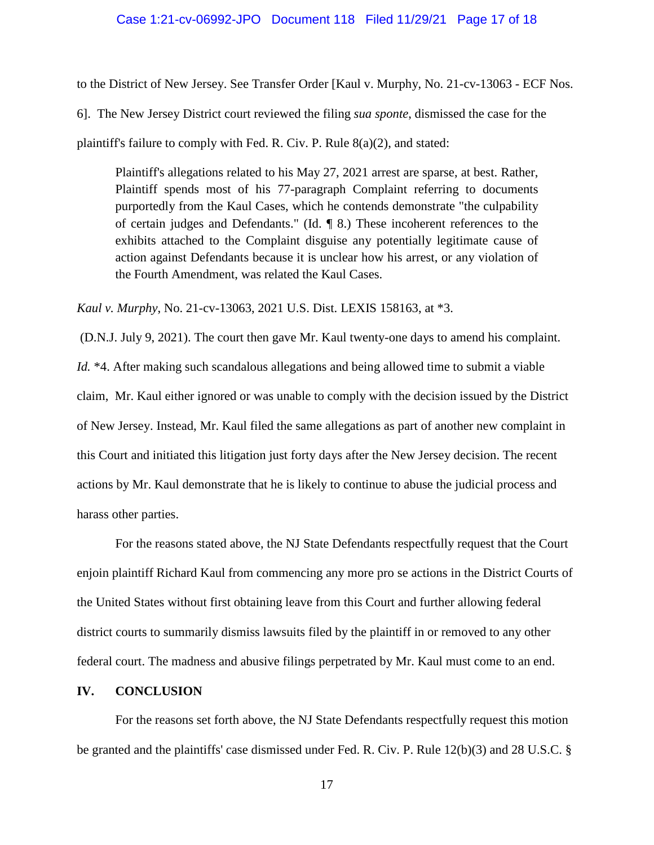#### Case 1:21-cv-06992-JPO Document 118 Filed 11/29/21 Page 17 of 18

to the District of New Jersey. See Transfer Order [Kaul v. Murphy, No. 21-cv-13063 - ECF Nos. 6]. The New Jersey District court reviewed the filing *sua sponte*, dismissed the case for the plaintiff's failure to comply with Fed. R. Civ. P. Rule 8(a)(2), and stated:

Plaintiff's allegations related to his May 27, 2021 arrest are sparse, at best. Rather, Plaintiff spends most of his 77-paragraph Complaint referring to documents purportedly from the Kaul Cases, which he contends demonstrate "the culpability of certain judges and Defendants." (Id. ¶ 8.) These incoherent references to the exhibits attached to the Complaint disguise any potentially legitimate cause of action against Defendants because it is unclear how his arrest, or any violation of the Fourth Amendment, was related the Kaul Cases.

*Kaul v. Murphy*, No. 21-cv-13063, 2021 U.S. Dist. LEXIS 158163, at \*3.

 (D.N.J. July 9, 2021). The court then gave Mr. Kaul twenty-one days to amend his complaint. *Id.* \*4. After making such scandalous allegations and being allowed time to submit a viable claim, Mr. Kaul either ignored or was unable to comply with the decision issued by the District of New Jersey. Instead, Mr. Kaul filed the same allegations as part of another new complaint in this Court and initiated this litigation just forty days after the New Jersey decision. The recent actions by Mr. Kaul demonstrate that he is likely to continue to abuse the judicial process and harass other parties.

For the reasons stated above, the NJ State Defendants respectfully request that the Court enjoin plaintiff Richard Kaul from commencing any more pro se actions in the District Courts of the United States without first obtaining leave from this Court and further allowing federal district courts to summarily dismiss lawsuits filed by the plaintiff in or removed to any other federal court. The madness and abusive filings perpetrated by Mr. Kaul must come to an end.

#### **IV. CONCLUSION**

For the reasons set forth above, the NJ State Defendants respectfully request this motion be granted and the plaintiffs' case dismissed under Fed. R. Civ. P. Rule 12(b)(3) and 28 U.S.C. §